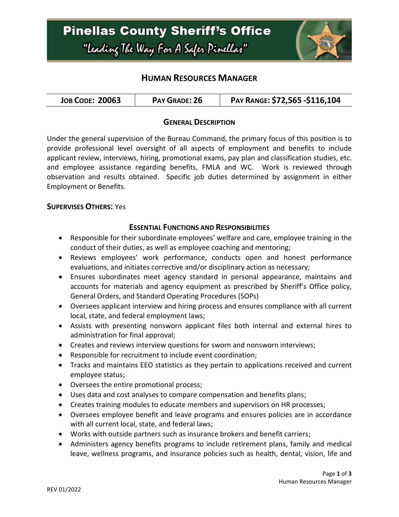

# **HUMAN RESOURCES MANAGER**

| <b>JOB CODE: 20063</b><br>PAY GRADE: 26 | PAY RANGE: \$72,565 -\$116,104 |
|-----------------------------------------|--------------------------------|
|-----------------------------------------|--------------------------------|

## **GENERAL DESCRIPTION**

Under the general supervision of the Bureau Command, the primary focus of this position is to provide professional level oversight of all aspects of employment and benefits to include applicant review, interviews, hiring, promotional exams, pay plan and classification studies, etc. and employee assistance regarding benefits, FMLA and WC. Work is reviewed through observation and results obtained. Specific job duties determined by assignment in either Employment or Benefits.

#### **SUPERVISES OTHERS:** Yes

#### **ESSENTIAL FUNCTIONS AND RESPONSIBILITIES**

- Responsible for their subordinate employees' welfare and care, employee training in the conduct of their duties, as well as employee coaching and mentoring;
- Reviews employees' work performance, conducts open and honest performance evaluations, and initiates corrective and/or disciplinary action as necessary;
- Ensures subordinates meet agency standard in personal appearance, maintains and accounts for materials and agency equipment as prescribed by Sheriff's Office policy, General Orders, and Standard Operating Procedures (SOPs)
- Oversees applicant interview and hiring process and ensures compliance with all current local, state, and federal employment laws;
- Assists with presenting nonsworn applicant files both internal and external hires to administration for final approval;
- Creates and reviews interview questions for sworn and nonsworn interviews;
- Responsible for recruitment to include event coordination;
- Tracks and maintains EEO statistics as they pertain to applications received and current employee status;
- Oversees the entire promotional process;
- Uses data and cost analyses to compare compensation and benefits plans;
- Creates training modules to educate members and supervisors on HR processes;
- Oversees employee benefit and leave programs and ensures policies are in accordance with all current local, state, and federal laws;
- Works with outside partners such as insurance brokers and benefit carriers;
- Administers agency benefits programs to include retirement plans, family and medical leave, wellness programs, and insurance policies such as health, dental, vision, life and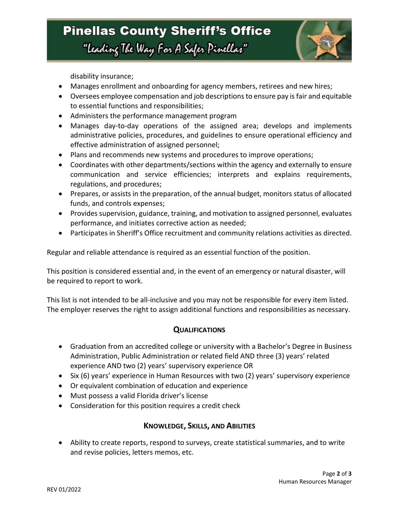

disability insurance;

- Manages enrollment and onboarding for agency members, retirees and new hires;
- Oversees employee compensation and job descriptions to ensure pay is fair and equitable to essential functions and responsibilities;
- Administers the performance management program
- Manages day-to-day operations of the assigned area; develops and implements administrative policies, procedures, and guidelines to ensure operational efficiency and effective administration of assigned personnel;
- Plans and recommends new systems and procedures to improve operations;
- Coordinates with other departments/sections within the agency and externally to ensure communication and service efficiencies; interprets and explains requirements, regulations, and procedures;
- Prepares, or assists in the preparation, of the annual budget, monitors status of allocated funds, and controls expenses;
- Provides supervision, guidance, training, and motivation to assigned personnel, evaluates performance, and initiates corrective action as needed;
- Participates in Sheriff's Office recruitment and community relations activities as directed.

Regular and reliable attendance is required as an essential function of the position.

This position is considered essential and, in the event of an emergency or natural disaster, will be required to report to work.

This list is not intended to be all-inclusive and you may not be responsible for every item listed. The employer reserves the right to assign additional functions and responsibilities as necessary.

## **QUALIFICATIONS**

- Graduation from an accredited college or university with a Bachelor's Degree in Business Administration, Public Administration or related field AND three (3) years' related experience AND two (2) years' supervisory experience OR
- Six (6) years' experience in Human Resources with two (2) years' supervisory experience
- Or equivalent combination of education and experience
- Must possess a valid Florida driver's license
- Consideration for this position requires a credit check

## **KNOWLEDGE, SKILLS, AND ABILITIES**

• Ability to create reports, respond to surveys, create statistical summaries, and to write and revise policies, letters memos, etc.